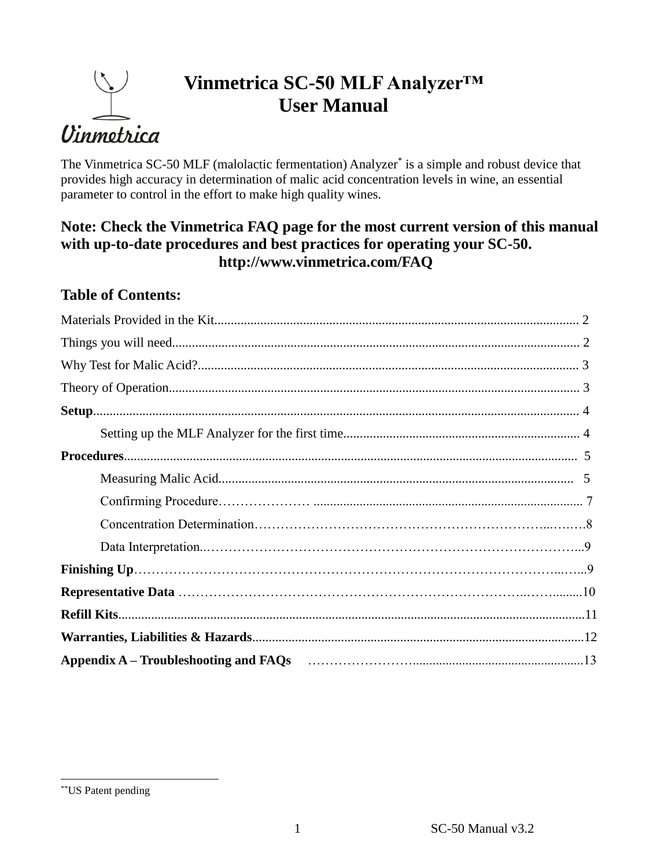# Uinmetrica

# **Vinmetrica SC-50 MLF Analyzer™ User Manual**

The Vinmetrica SC-50 MLF (malolactic fermentation) Analyzer<sup>\*</sup> is a simple and robust device that provides high accuracy in determination of malic acid concentration levels in wine, an essential parameter to control in the effort to make high quality wines.

## **Note: Check the Vinmetrica FAQ page for the most current version of this manual with up-to-date procedures and best practices for operating your SC-50. http://www.vinmetrica.com/FAQ**

# **Table of Contents:**

| Appendix A – Troubleshooting and FAQs (1990) (2008) (2008) (2009) (2008) (2009) (2009) (2009) (2009) (2009) (2009) (2009) (2009) (2009) (2009) (2009) (2009) (2009) (2009) (2009) (2009) (2009) (2009) (2009) (2009) (2009) (2 |  |
|--------------------------------------------------------------------------------------------------------------------------------------------------------------------------------------------------------------------------------|--|

 $\overline{a}$ \*\*US Patent pending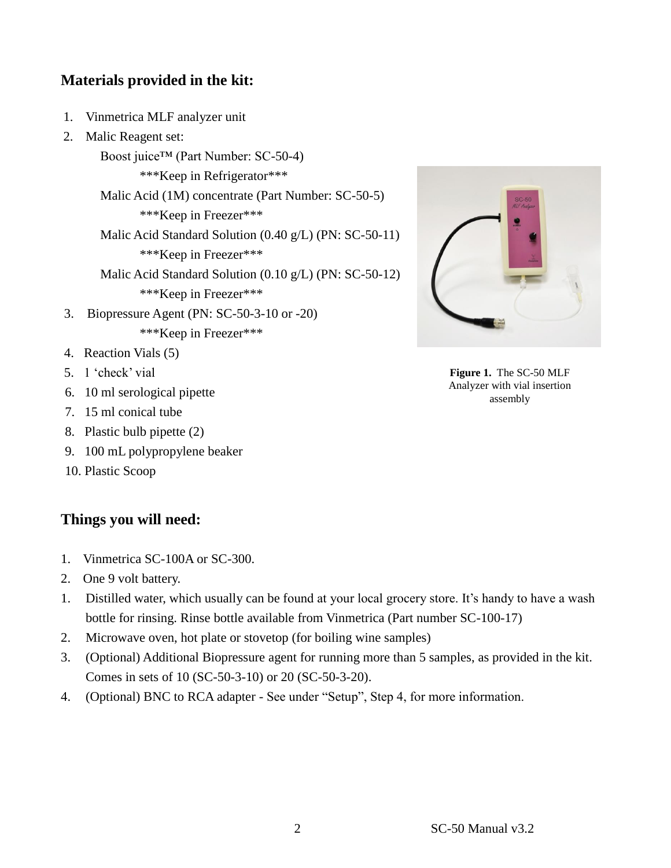## **Materials provided in the kit:**

- 1. Vinmetrica MLF analyzer unit
- 2. Malic Reagent set:

Boost juice™ (Part Number: SC-50-4) \*\*\*Keep in Refrigerator\*\*\* Malic Acid (1M) concentrate (Part Number: SC-50-5) \*\*\*Keep in Freezer\*\*\* Malic Acid Standard Solution (0.40 g/L) (PN: SC-50-11) \*\*\*Keep in Freezer\*\*\* Malic Acid Standard Solution (0.10 g/L) (PN: SC-50-12) \*\*\*Keep in Freezer\*\*\* 3. Biopressure Agent (PN: SC-50-3-10 or -20) \*\*\*Keep in Freezer\*\*\*

- 4. Reaction Vials (5)
- 5. 1 'check' vial
- 6. 10 ml serological pipette
- 7. 15 ml conical tube
- 8. Plastic bulb pipette (2)
- 9. 100 mL polypropylene beaker
- 10. Plastic Scoop

#### **Things you will need:**

- 1. Vinmetrica SC-100A or SC-300.
- 2. One 9 volt battery.
- 1. Distilled water, which usually can be found at your local grocery store. It's handy to have a wash bottle for rinsing. Rinse bottle available from Vinmetrica (Part number SC-100-17)
- 2. Microwave oven, hot plate or stovetop (for boiling wine samples)
- 3. (Optional) Additional Biopressure agent for running more than 5 samples, as provided in the kit. Comes in sets of 10 (SC-50-3-10) or 20 (SC-50-3-20).
- 4. (Optional) BNC to RCA adapter See under "Setup", Step 4, for more information.



**Figure 1.** The SC-50 MLF Analyzer with vial insertion assembly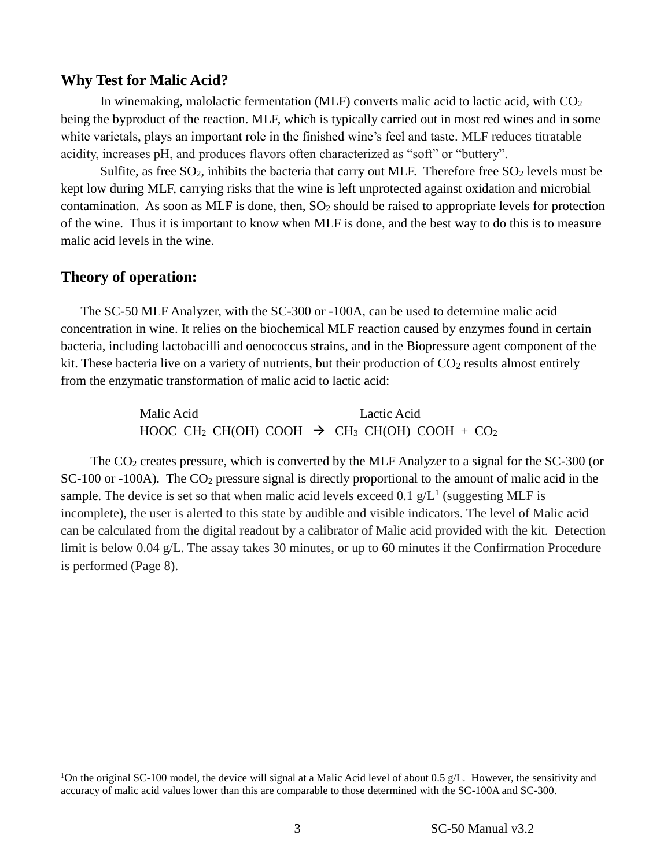#### **Why Test for Malic Acid?**

In winemaking, malolactic fermentation (MLF) converts malic acid to lactic acid, with  $CO<sub>2</sub>$ being the byproduct of the reaction. MLF, which is typically carried out in most red wines and in some white varietals, plays an important role in the finished wine's feel and taste. MLF reduces titratable acidity, increases pH, and produces flavors often characterized as "soft" or "buttery".

Sulfite, as free  $SO_2$ , inhibits the bacteria that carry out MLF. Therefore free  $SO_2$  levels must be kept low during MLF, carrying risks that the wine is left unprotected against oxidation and microbial contamination. As soon as MLF is done, then,  $SO_2$  should be raised to appropriate levels for protection of the wine. Thus it is important to know when MLF is done, and the best way to do this is to measure malic acid levels in the wine.

#### **Theory of operation:**

l

The SC-50 MLF Analyzer, with the SC-300 or -100A, can be used to determine malic acid concentration in wine. It relies on the biochemical MLF reaction caused by enzymes found in certain bacteria, including lactobacilli and oenococcus strains, and in the Biopressure agent component of the kit. These bacteria live on a variety of nutrients, but their production of  $CO<sub>2</sub>$  results almost entirely from the enzymatic transformation of malic acid to lactic acid:

> Malic Acid Lactic Acid  $HOOC-CH_2-CH(OH)-COOH \rightarrow CH_3-CH(OH)-COOH + CO_2$

The CO<sup>2</sup> creates pressure, which is converted by the MLF Analyzer to a signal for the SC-300 (or  $SC-100$  or  $-100A$ ). The  $CO<sub>2</sub>$  pressure signal is directly proportional to the amount of malic acid in the sample. The device is set so that when malic acid levels exceed 0.1  $g/L^1$  (suggesting MLF is incomplete), the user is alerted to this state by audible and visible indicators. The level of Malic acid can be calculated from the digital readout by a calibrator of Malic acid provided with the kit. Detection limit is below 0.04 g/L. The assay takes 30 minutes, or up to 60 minutes if the Confirmation Procedure is performed (Page 8).

<sup>&</sup>lt;sup>1</sup>On the original SC-100 model, the device will signal at a Malic Acid level of about 0.5 g/L. However, the sensitivity and accuracy of malic acid values lower than this are comparable to those determined with the SC-100A and SC-300.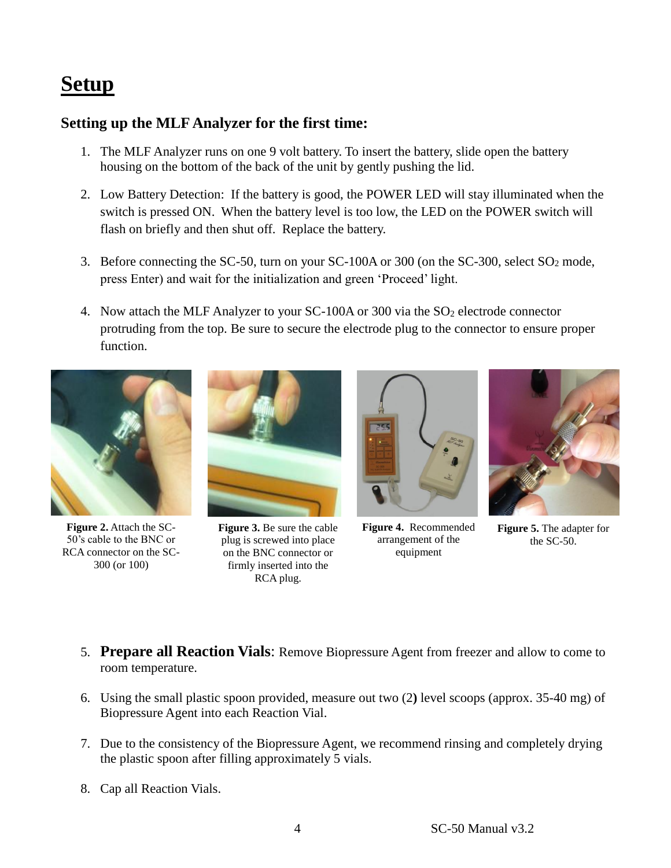# **Setup**

### **Setting up the MLF Analyzer for the first time:**

- 1. The MLF Analyzer runs on one 9 volt battery. To insert the battery, slide open the battery housing on the bottom of the back of the unit by gently pushing the lid.
- 2. Low Battery Detection: If the battery is good, the POWER LED will stay illuminated when the switch is pressed ON. When the battery level is too low, the LED on the POWER switch will flash on briefly and then shut off. Replace the battery.
- 3. Before connecting the SC-50, turn on your SC-100A or 300 (on the SC-300, select  $SO_2$  mode, press Enter) and wait for the initialization and green 'Proceed' light.
- 4. Now attach the MLF Analyzer to your SC-100A or 300 via the SO<sub>2</sub> electrode connector protruding from the top. Be sure to secure the electrode plug to the connector to ensure proper function.



**Figure 2.** Attach the SC-50's cable to the BNC or RCA connector on the SC-300 (or 100)



**Figure 3.** Be sure the cable plug is screwed into place on the BNC connector or firmly inserted into the RCA plug.



**Figure 4.** Recommended arrangement of the equipment



**Figure 5.** The adapter for the SC-50.

- 5. **Prepare all Reaction Vials**: Remove Biopressure Agent from freezer and allow to come to room temperature.
- 6. Using the small plastic spoon provided, measure out two (2**)** level scoops (approx. 35-40 mg) of Biopressure Agent into each Reaction Vial.
- 7. Due to the consistency of the Biopressure Agent, we recommend rinsing and completely drying the plastic spoon after filling approximately 5 vials.
- 8. Cap all Reaction Vials.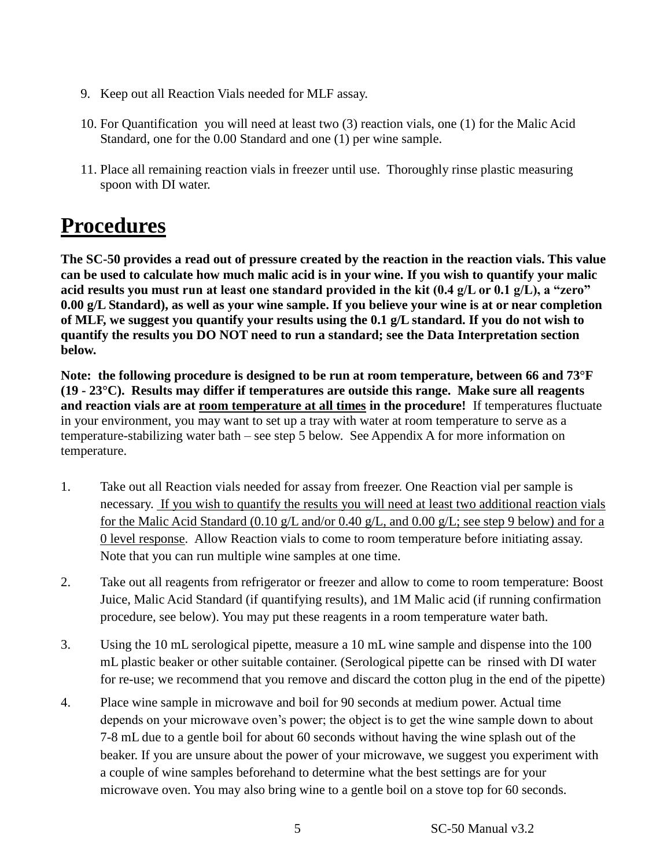- 9. Keep out all Reaction Vials needed for MLF assay.
- 10. For Quantification you will need at least two (3) reaction vials, one (1) for the Malic Acid Standard, one for the 0.00 Standard and one (1) per wine sample.
- 11. Place all remaining reaction vials in freezer until use. Thoroughly rinse plastic measuring spoon with DI water.

# **Procedures**

**The SC-50 provides a read out of pressure created by the reaction in the reaction vials. This value can be used to calculate how much malic acid is in your wine. If you wish to quantify your malic acid results you must run at least one standard provided in the kit (0.4 g/L or 0.1 g/L), a "zero" 0.00 g/L Standard), as well as your wine sample. If you believe your wine is at or near completion of MLF, we suggest you quantify your results using the 0.1 g/L standard. If you do not wish to quantify the results you DO NOT need to run a standard; see the Data Interpretation section below.**

**Note: the following procedure is designed to be run at room temperature, between 66 and 73°F (19 - 23°C). Results may differ if temperatures are outside this range. Make sure all reagents and reaction vials are at room temperature at all times in the procedure!** If temperatures fluctuate in your environment, you may want to set up a tray with water at room temperature to serve as a temperature-stabilizing water bath – see step 5 below. See Appendix A for more information on temperature.

- 1. Take out all Reaction vials needed for assay from freezer. One Reaction vial per sample is necessary. If you wish to quantify the results you will need at least two additional reaction vials for the Malic Acid Standard (0.10 g/L and/or 0.40 g/L, and 0.00 g/L; see step 9 below) and for a 0 level response. Allow Reaction vials to come to room temperature before initiating assay. Note that you can run multiple wine samples at one time.
- 2. Take out all reagents from refrigerator or freezer and allow to come to room temperature: Boost Juice, Malic Acid Standard (if quantifying results), and 1M Malic acid (if running confirmation procedure, see below). You may put these reagents in a room temperature water bath.
- 3. Using the 10 mL serological pipette, measure a 10 mL wine sample and dispense into the 100 mL plastic beaker or other suitable container. (Serological pipette can be rinsed with DI water for re-use; we recommend that you remove and discard the cotton plug in the end of the pipette)
- 4. Place wine sample in microwave and boil for 90 seconds at medium power. Actual time depends on your microwave oven's power; the object is to get the wine sample down to about 7-8 mL due to a gentle boil for about 60 seconds without having the wine splash out of the beaker. If you are unsure about the power of your microwave, we suggest you experiment with a couple of wine samples beforehand to determine what the best settings are for your microwave oven. You may also bring wine to a gentle boil on a stove top for 60 seconds.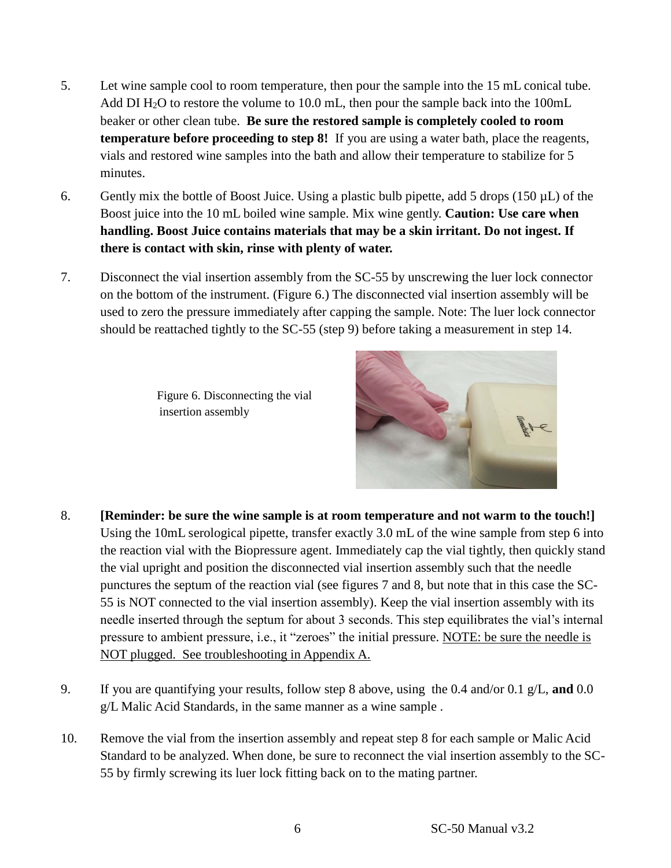- 5. Let wine sample cool to room temperature, then pour the sample into the 15 mL conical tube. Add DI  $H_2O$  to restore the volume to 10.0 mL, then pour the sample back into the 100mL beaker or other clean tube. **Be sure the restored sample is completely cooled to room temperature before proceeding to step 8!** If you are using a water bath, place the reagents, vials and restored wine samples into the bath and allow their temperature to stabilize for 5 minutes.
- 6. Gently mix the bottle of Boost Juice. Using a plastic bulb pipette, add 5 drops (150  $\mu$ L) of the Boost juice into the 10 mL boiled wine sample. Mix wine gently. **Caution: Use care when handling. Boost Juice contains materials that may be a skin irritant. Do not ingest. If there is contact with skin, rinse with plenty of water.**
- 7. Disconnect the vial insertion assembly from the SC-55 by unscrewing the luer lock connector on the bottom of the instrument. (Figure 6.) The disconnected vial insertion assembly will be used to zero the pressure immediately after capping the sample. Note: The luer lock connector should be reattached tightly to the SC-55 (step 9) before taking a measurement in step 14.

Figure 6. Disconnecting the vial insertion assembly



- 8. **[Reminder: be sure the wine sample is at room temperature and not warm to the touch!]**  Using the 10mL serological pipette, transfer exactly 3.0 mL of the wine sample from step 6 into the reaction vial with the Biopressure agent. Immediately cap the vial tightly, then quickly stand the vial upright and position the disconnected vial insertion assembly such that the needle punctures the septum of the reaction vial (see figures 7 and 8, but note that in this case the SC-55 is NOT connected to the vial insertion assembly). Keep the vial insertion assembly with its needle inserted through the septum for about 3 seconds. This step equilibrates the vial's internal pressure to ambient pressure, i.e., it "zeroes" the initial pressure. NOTE: be sure the needle is NOT plugged. See troubleshooting in Appendix A.
- 9. If you are quantifying your results, follow step 8 above, using the 0.4 and/or 0.1 g/L, **and** 0.0 g/L Malic Acid Standards, in the same manner as a wine sample .
- 10. Remove the vial from the insertion assembly and repeat step 8 for each sample or Malic Acid Standard to be analyzed. When done, be sure to reconnect the vial insertion assembly to the SC-55 by firmly screwing its luer lock fitting back on to the mating partner.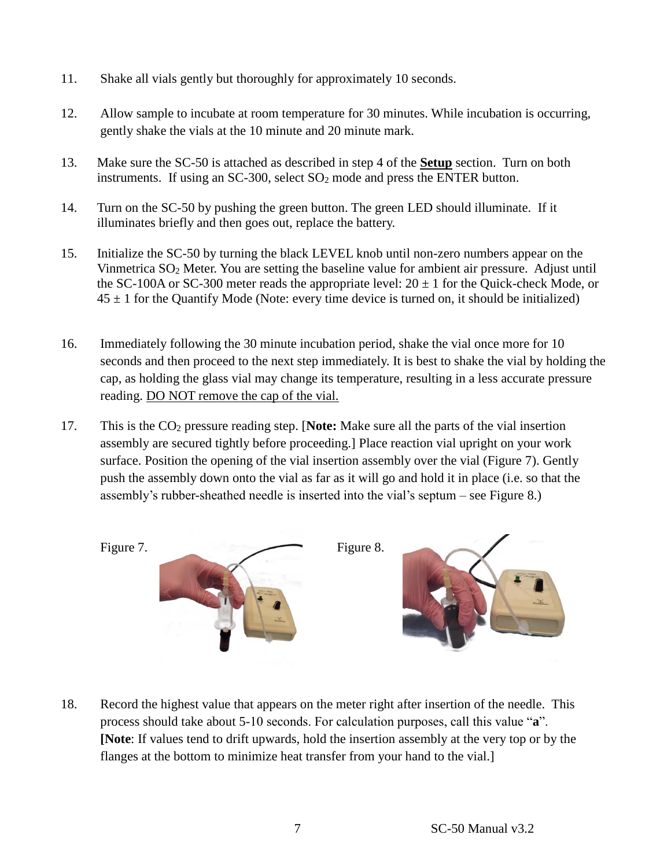- 11. Shake all vials gently but thoroughly for approximately 10 seconds.
- 12. Allow sample to incubate at room temperature for 30 minutes. While incubation is occurring, gently shake the vials at the 10 minute and 20 minute mark.
- 13. Make sure the SC-50 is attached as described in step 4 of the **Setup** section. Turn on both instruments. If using an SC-300, select SO<sub>2</sub> mode and press the ENTER button.
- 14. Turn on the SC-50 by pushing the green button. The green LED should illuminate. If it illuminates briefly and then goes out, replace the battery.
- 15. Initialize the SC-50 by turning the black LEVEL knob until non-zero numbers appear on the Vinmetrica SO<sup>2</sup> Meter. You are setting the baseline value for ambient air pressure. Adjust until the SC-100A or SC-300 meter reads the appropriate level:  $20 \pm 1$  for the Quick-check Mode, or  $45 \pm 1$  for the Quantify Mode (Note: every time device is turned on, it should be initialized)
- 16. Immediately following the 30 minute incubation period, shake the vial once more for 10 seconds and then proceed to the next step immediately. It is best to shake the vial by holding the cap, as holding the glass vial may change its temperature, resulting in a less accurate pressure reading. DO NOT remove the cap of the vial.
- 17. This is the CO<sup>2</sup> pressure reading step. [**Note:** Make sure all the parts of the vial insertion assembly are secured tightly before proceeding.] Place reaction vial upright on your work surface. Position the opening of the vial insertion assembly over the vial (Figure 7). Gently push the assembly down onto the vial as far as it will go and hold it in place (i.e. so that the assembly's rubber-sheathed needle is inserted into the vial's septum – see Figure 8.)



18. Record the highest value that appears on the meter right after insertion of the needle. This process should take about 5-10 seconds. For calculation purposes, call this value "**a**". **[Note**: If values tend to drift upwards, hold the insertion assembly at the very top or by the flanges at the bottom to minimize heat transfer from your hand to the vial.]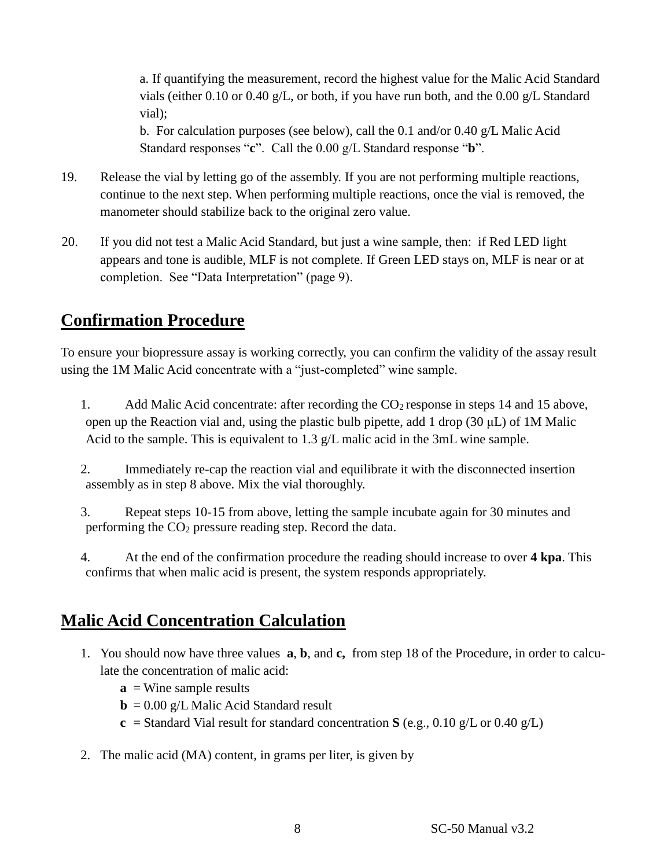a. If quantifying the measurement, record the highest value for the Malic Acid Standard vials (either 0.10 or 0.40 g/L, or both, if you have run both, and the 0.00 g/L Standard vial);

b. For calculation purposes (see below), call the 0.1 and/or 0.40 g/L Malic Acid Standard responses "**c**". Call the 0.00 g/L Standard response "**b**".

- 19. Release the vial by letting go of the assembly. If you are not performing multiple reactions, continue to the next step. When performing multiple reactions, once the vial is removed, the manometer should stabilize back to the original zero value.
- 20. If you did not test a Malic Acid Standard, but just a wine sample, then: if Red LED light appears and tone is audible, MLF is not complete. If Green LED stays on, MLF is near or at completion. See "Data Interpretation" (page 9).

# **Confirmation Procedure**

To ensure your biopressure assay is working correctly, you can confirm the validity of the assay result using the 1M Malic Acid concentrate with a "just-completed" wine sample.

1. Add Malic Acid concentrate: after recording the  $CO<sub>2</sub>$  response in steps 14 and 15 above, open up the Reaction vial and, using the plastic bulb pipette, add 1 drop (30  $\mu$ L) of 1M Malic Acid to the sample. This is equivalent to 1.3 g/L malic acid in the 3mL wine sample.

2. Immediately re-cap the reaction vial and equilibrate it with the disconnected insertion assembly as in step 8 above. Mix the vial thoroughly.

3. Repeat steps 10-15 from above, letting the sample incubate again for 30 minutes and performing the CO<sup>2</sup> pressure reading step. Record the data.

4. At the end of the confirmation procedure the reading should increase to over **4 kpa**. This confirms that when malic acid is present, the system responds appropriately.

# **Malic Acid Concentration Calculation**

- 1. You should now have three values **a**, **b**, and **c,** from step 18 of the Procedure, in order to calculate the concentration of malic acid:
	- $\mathbf{a}$  = Wine sample results
	- $\mathbf{b} = 0.00 \text{ g/L}$  Malic Acid Standard result
	- **c** = Standard Vial result for standard concentration **S** (e.g., 0.10 g/L or 0.40 g/L)
- 2. The malic acid (MA) content, in grams per liter, is given by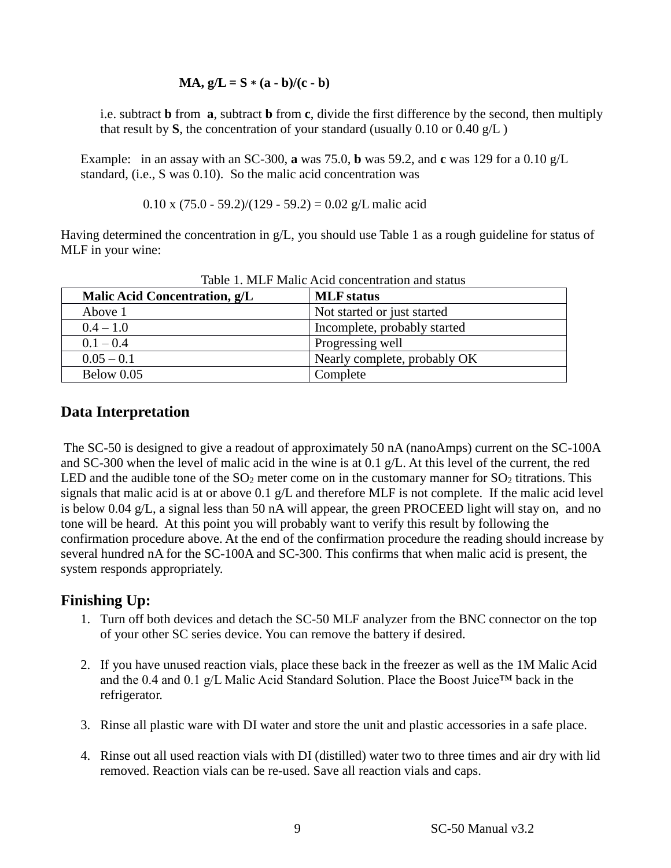#### **MA,**  $g/L = S * (a - b)/(c - b)$

i.e. subtract **b** from **a**, subtract **b** from **c**, divide the first difference by the second, then multiply that result by  $S$ , the concentration of your standard (usually 0.10 or 0.40  $g/L$ )

Example: in an assay with an SC-300, **a** was 75.0, **b** was 59.2, and **c** was 129 for a 0.10 g/L standard, (i.e., S was 0.10). So the malic acid concentration was

$$
0.10 \times (75.0 - 59.2)/(129 - 59.2) = 0.02 \text{ g/L}
$$
malic acid

Having determined the concentration in g/L, you should use Table 1 as a rough guideline for status of MLF in your wine:

| Malic Acid Concentration, g/L | <b>MLF</b> status            |
|-------------------------------|------------------------------|
| Above 1                       | Not started or just started  |
| $0.4 - 1.0$                   | Incomplete, probably started |
| $0.1 - 0.4$                   | Progressing well             |
| $0.05 - 0.1$                  | Nearly complete, probably OK |
| Below 0.05                    | Complete                     |

Table 1. MLF Malic Acid concentration and status

#### **Data Interpretation**

The SC-50 is designed to give a readout of approximately 50 nA (nanoAmps) current on the SC-100A and SC-300 when the level of malic acid in the wine is at 0.1 g/L. At this level of the current, the red LED and the audible tone of the  $SO_2$  meter come on in the customary manner for  $SO_2$  titrations. This signals that malic acid is at or above 0.1 g/L and therefore MLF is not complete. If the malic acid level is below 0.04 g/L, a signal less than 50 nA will appear, the green PROCEED light will stay on, and no tone will be heard. At this point you will probably want to verify this result by following the confirmation procedure above. At the end of the confirmation procedure the reading should increase by several hundred nA for the SC-100A and SC-300. This confirms that when malic acid is present, the system responds appropriately.

#### **Finishing Up:**

- 1. Turn off both devices and detach the SC-50 MLF analyzer from the BNC connector on the top of your other SC series device. You can remove the battery if desired.
- 2. If you have unused reaction vials, place these back in the freezer as well as the 1M Malic Acid and the 0.4 and 0.1 g/L Malic Acid Standard Solution. Place the Boost Juice<sup>TM</sup> back in the refrigerator.
- 3. Rinse all plastic ware with DI water and store the unit and plastic accessories in a safe place.
- 4. Rinse out all used reaction vials with DI (distilled) water two to three times and air dry with lid removed. Reaction vials can be re-used. Save all reaction vials and caps.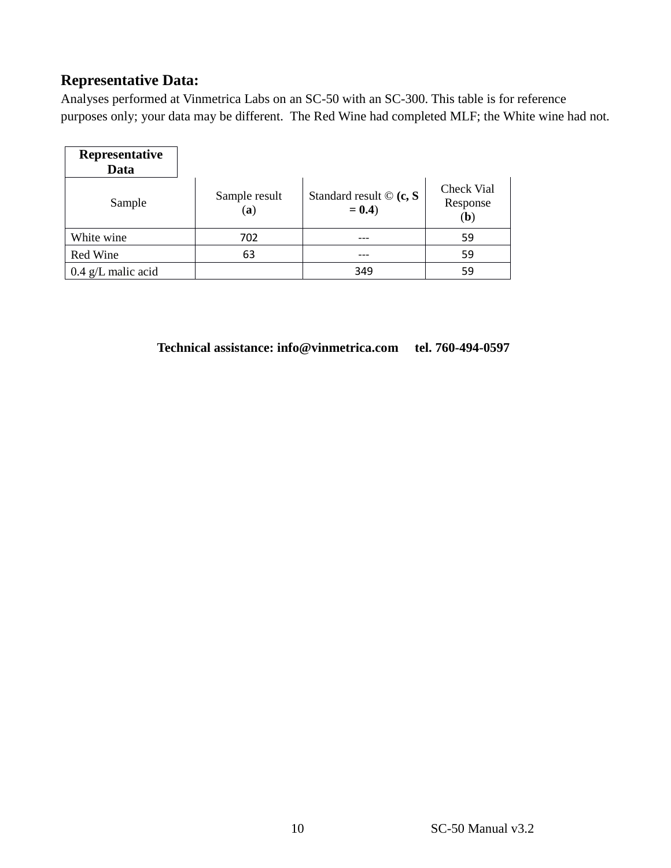## **Representative Data:**

Analyses performed at Vinmetrica Labs on an SC-50 with an SC-300. This table is for reference purposes only; your data may be different. The Red Wine had completed MLF; the White wine had not.

| Representative<br>Data |                           |                                          |                                        |
|------------------------|---------------------------|------------------------------------------|----------------------------------------|
| Sample                 | Sample result<br>$\bf(a)$ | Standard result $\odot$ (c, S<br>$= 0.4$ | Check Vial<br>Response<br>( <b>b</b> ) |
| White wine             | 702                       |                                          | 59                                     |
| Red Wine               | 63                        |                                          | 59                                     |
| $0.4$ g/L malic acid   |                           | 349                                      | 59                                     |

#### **Technical assistance: [info@vinmetrica.com](mailto:info@vinmetrica.com) tel. 760-494-0597**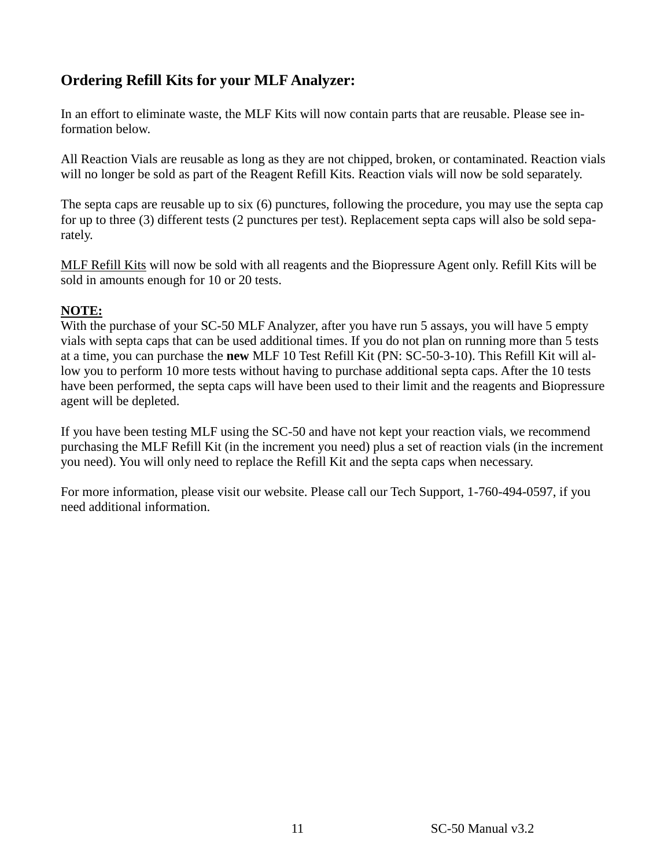# **Ordering Refill Kits for your MLF Analyzer:**

In an effort to eliminate waste, the MLF Kits will now contain parts that are reusable. Please see information below.

All Reaction Vials are reusable as long as they are not chipped, broken, or contaminated. Reaction vials will no longer be sold as part of the Reagent Refill Kits. Reaction vials will now be sold separately.

The septa caps are reusable up to six (6) punctures, following the procedure, you may use the septa cap for up to three (3) different tests (2 punctures per test). Replacement septa caps will also be sold separately.

MLF Refill Kits will now be sold with all reagents and the Biopressure Agent only. Refill Kits will be sold in amounts enough for 10 or 20 tests.

#### **NOTE:**

With the purchase of your SC-50 MLF Analyzer, after you have run 5 assays, you will have 5 empty vials with septa caps that can be used additional times. If you do not plan on running more than 5 tests at a time, you can purchase the **new** MLF 10 Test Refill Kit (PN: SC-50-3-10). This Refill Kit will allow you to perform 10 more tests without having to purchase additional septa caps. After the 10 tests have been performed, the septa caps will have been used to their limit and the reagents and Biopressure agent will be depleted.

If you have been testing MLF using the SC-50 and have not kept your reaction vials, we recommend purchasing the MLF Refill Kit (in the increment you need) plus a set of reaction vials (in the increment you need). You will only need to replace the Refill Kit and the septa caps when necessary.

For more information, please visit our website. Please call our Tech Support, 1-760-494-0597, if you need additional information.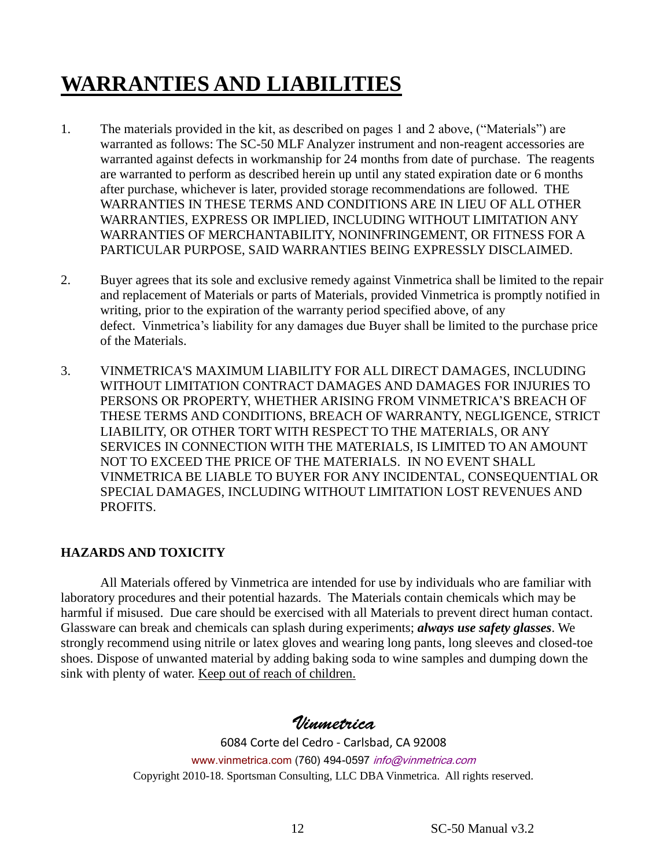# **WARRANTIES AND LIABILITIES**

- 1. The materials provided in the kit, as described on pages 1 and 2 above, ("Materials") are warranted as follows: The SC-50 MLF Analyzer instrument and non-reagent accessories are warranted against defects in workmanship for 24 months from date of purchase. The reagents are warranted to perform as described herein up until any stated expiration date or 6 months after purchase, whichever is later, provided storage recommendations are followed. THE WARRANTIES IN THESE TERMS AND CONDITIONS ARE IN LIEU OF ALL OTHER WARRANTIES, EXPRESS OR IMPLIED, INCLUDING WITHOUT LIMITATION ANY WARRANTIES OF MERCHANTABILITY, NONINFRINGEMENT, OR FITNESS FOR A PARTICULAR PURPOSE, SAID WARRANTIES BEING EXPRESSLY DISCLAIMED.
- 2. Buyer agrees that its sole and exclusive remedy against Vinmetrica shall be limited to the repair and replacement of Materials or parts of Materials, provided Vinmetrica is promptly notified in writing, prior to the expiration of the warranty period specified above, of any defect. Vinmetrica's liability for any damages due Buyer shall be limited to the purchase price of the Materials.
- 3. VINMETRICA'S MAXIMUM LIABILITY FOR ALL DIRECT DAMAGES, INCLUDING WITHOUT LIMITATION CONTRACT DAMAGES AND DAMAGES FOR INJURIES TO PERSONS OR PROPERTY, WHETHER ARISING FROM VINMETRICA'S BREACH OF THESE TERMS AND CONDITIONS, BREACH OF WARRANTY, NEGLIGENCE, STRICT LIABILITY, OR OTHER TORT WITH RESPECT TO THE MATERIALS, OR ANY SERVICES IN CONNECTION WITH THE MATERIALS, IS LIMITED TO AN AMOUNT NOT TO EXCEED THE PRICE OF THE MATERIALS. IN NO EVENT SHALL VINMETRICA BE LIABLE TO BUYER FOR ANY INCIDENTAL, CONSEQUENTIAL OR SPECIAL DAMAGES, INCLUDING WITHOUT LIMITATION LOST REVENUES AND PROFITS.

#### **HAZARDS AND TOXICITY**

All Materials offered by Vinmetrica are intended for use by individuals who are familiar with laboratory procedures and their potential hazards. The Materials contain chemicals which may be harmful if misused. Due care should be exercised with all Materials to prevent direct human contact. Glassware can break and chemicals can splash during experiments; *always use safety glasses*. We strongly recommend using nitrile or latex gloves and wearing long pants, long sleeves and closed-toe shoes. Dispose of unwanted material by adding baking soda to wine samples and dumping down the sink with plenty of water. Keep out of reach of children.

## Vinmetrica

6084 Corte del Cedro - Carlsbad, CA 92008 www.vinmetrica.com (760) 494-0597 info@vinmetrica.com Copyright 2010-18. Sportsman Consulting, LLC DBA Vinmetrica. All rights reserved.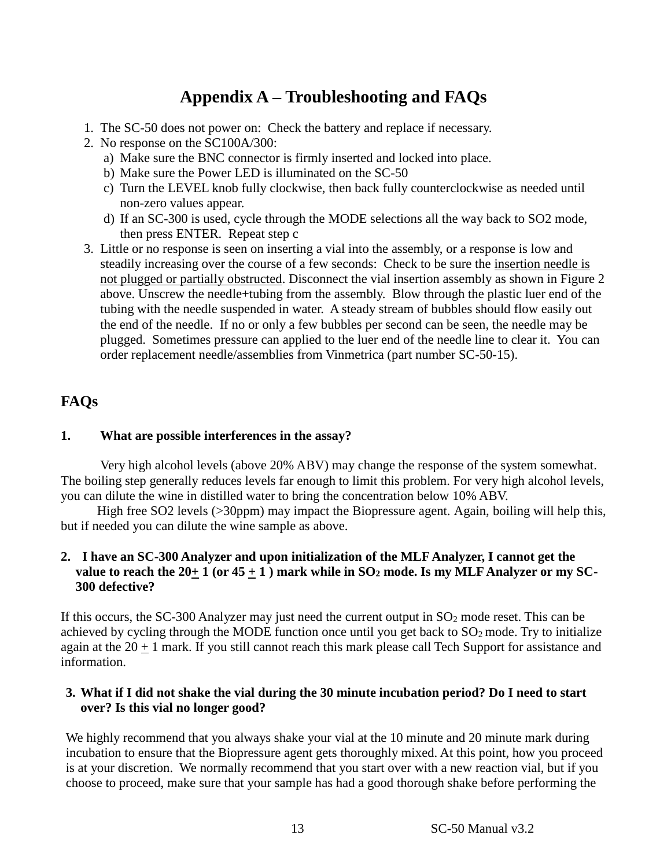# **Appendix A – Troubleshooting and FAQs**

- 1. The SC-50 does not power on: Check the battery and replace if necessary.
- 2. No response on the SC100A/300:
	- a) Make sure the BNC connector is firmly inserted and locked into place.
	- b) Make sure the Power LED is illuminated on the SC-50
	- c) Turn the LEVEL knob fully clockwise, then back fully counterclockwise as needed until non-zero values appear.
	- d) If an SC-300 is used, cycle through the MODE selections all the way back to SO2 mode, then press ENTER. Repeat step c
- 3. Little or no response is seen on inserting a vial into the assembly, or a response is low and steadily increasing over the course of a few seconds: Check to be sure the insertion needle is not plugged or partially obstructed. Disconnect the vial insertion assembly as shown in Figure 2 above. Unscrew the needle+tubing from the assembly. Blow through the plastic luer end of the tubing with the needle suspended in water. A steady stream of bubbles should flow easily out the end of the needle. If no or only a few bubbles per second can be seen, the needle may be plugged. Sometimes pressure can applied to the luer end of the needle line to clear it. You can order replacement needle/assemblies from Vinmetrica (part number SC-50-15).

#### **FAQs**

#### **1. What are possible interferences in the assay?**

Very high alcohol levels (above 20% ABV) may change the response of the system somewhat. The boiling step generally reduces levels far enough to limit this problem. For very high alcohol levels, you can dilute the wine in distilled water to bring the concentration below 10% ABV.

High free SO2 levels (>30ppm) may impact the Biopressure agent. Again, boiling will help this, but if needed you can dilute the wine sample as above.

#### **2. I have an SC-300 Analyzer and upon initialization of the MLF Analyzer, I cannot get the**  value to reach the  $20 \pm 1$  (or  $45 \pm 1$ ) mark while in SO<sub>2</sub> mode. Is my MLF Analyzer or my SC-**300 defective?**

If this occurs, the SC-300 Analyzer may just need the current output in  $SO_2$  mode reset. This can be achieved by cycling through the MODE function once until you get back to  $SO<sub>2</sub>$  mode. Try to initialize again at the  $20 + 1$  mark. If you still cannot reach this mark please call Tech Support for assistance and information.

#### **3. What if I did not shake the vial during the 30 minute incubation period? Do I need to start over? Is this vial no longer good?**

We highly recommend that you always shake your vial at the 10 minute and 20 minute mark during incubation to ensure that the Biopressure agent gets thoroughly mixed. At this point, how you proceed is at your discretion. We normally recommend that you start over with a new reaction vial, but if you choose to proceed, make sure that your sample has had a good thorough shake before performing the